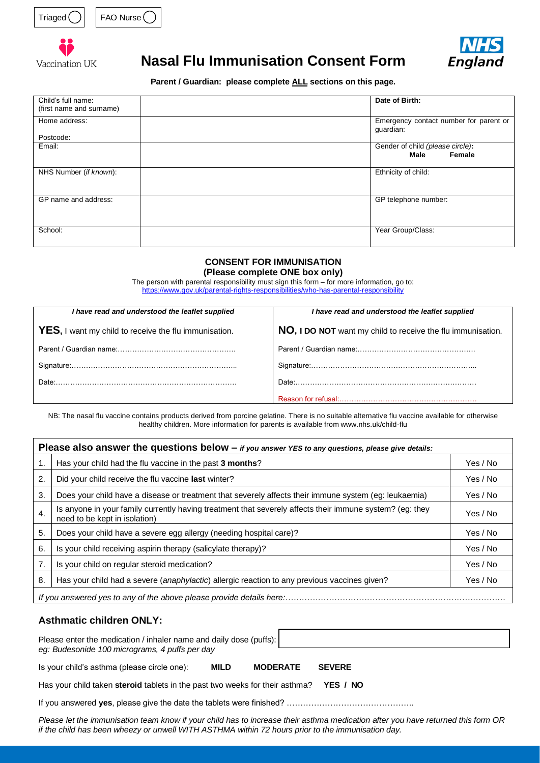





# **Nasal Flu Immunisation Consent Form**



**Parent / Guardian: please complete ALL sections on this page.**

| Child's full name:<br>(first name and surname) | Date of Birth:                                      |
|------------------------------------------------|-----------------------------------------------------|
| Home address:                                  | Emergency contact number for parent or<br>guardian: |
| Postcode:                                      |                                                     |
| Email:                                         | Gender of child (please circle):<br>Female<br>Male  |
| NHS Number (if known):                         | Ethnicity of child:                                 |
| GP name and address:                           | GP telephone number:                                |
| School:                                        | Year Group/Class:                                   |

### **CONSENT FOR IMMUNISATION**

**(Please complete ONE box only)**

The person with parental responsibility must sign this form – for more information, go to: <https://www.gov.uk/parental-rights-responsibilities/who-has-parental-responsibility>

| I have read and understood the leaflet supplied               | I have read and understood the leaflet supplied                                                                                                                                                                                |  |  |
|---------------------------------------------------------------|--------------------------------------------------------------------------------------------------------------------------------------------------------------------------------------------------------------------------------|--|--|
| <b>YES</b> , I want my child to receive the flu immunisation. | NO, I DO NOT want my child to receive the flu immunisation.                                                                                                                                                                    |  |  |
|                                                               |                                                                                                                                                                                                                                |  |  |
|                                                               |                                                                                                                                                                                                                                |  |  |
| Date:                                                         | Date: the contract of the contract of the contract of the contract of the contract of the contract of the contract of the contract of the contract of the contract of the contract of the contract of the contract of the cont |  |  |
|                                                               |                                                                                                                                                                                                                                |  |  |

NB: The nasal flu vaccine contains products derived from porcine gelatine. There is no suitable alternative flu vaccine available for otherwise healthy children. More information for parents is available from www.nhs.uk/child-flu

| <b>Please also answer the questions below <math>-</math></b> if you answer YES to any questions, please give details: |                                                                                                                                           |          |  |  |  |
|-----------------------------------------------------------------------------------------------------------------------|-------------------------------------------------------------------------------------------------------------------------------------------|----------|--|--|--|
| 1.                                                                                                                    | Has your child had the flu vaccine in the past 3 months?                                                                                  | Yes / No |  |  |  |
| $\mathbf{2}$                                                                                                          | Did your child receive the flu vaccine last winter?                                                                                       | Yes / No |  |  |  |
| 3.                                                                                                                    | Does your child have a disease or treatment that severely affects their immune system (eg: leukaemia)                                     | Yes / No |  |  |  |
| $\overline{4}$ .                                                                                                      | Is anyone in your family currently having treatment that severely affects their immune system? (eg: they<br>need to be kept in isolation) |          |  |  |  |
| 5.                                                                                                                    | Does your child have a severe egg allergy (needing hospital care)?                                                                        | Yes / No |  |  |  |
| 6.                                                                                                                    | Is your child receiving aspirin therapy (salicylate therapy)?                                                                             | Yes / No |  |  |  |
| 7.                                                                                                                    | Is your child on regular steroid medication?                                                                                              | Yes / No |  |  |  |
| 8.                                                                                                                    | Has your child had a severe (anaphylactic) allergic reaction to any previous vaccines given?                                              | Yes / No |  |  |  |
|                                                                                                                       |                                                                                                                                           |          |  |  |  |

## **Asthmatic children ONLY:**

Please enter the medication / inhaler name and daily dose (puffs): *eg: Budesonide 100 micrograms, 4 puffs per day*

Is your child's asthma (please circle one): **MILD MODERATE SEVERE**

Has your child taken **steroid** tablets in the past two weeks for their asthma? **YES / NO**

If you answered **yes**, please give the date the tablets were finished? ………………………………………..

*Please let the immunisation team know if your child has to increase their asthma medication after you have returned this form OR if the child has been wheezy or unwell WITH ASTHMA within 72 hours prior to the immunisation day.*